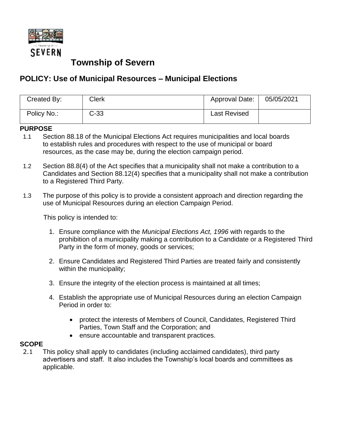

# **Township of Severn**

## **POLICY: Use of Municipal Resources – Municipal Elections**

| Created By: | Clerk  | Approval Date:      | 05/05/2021 |
|-------------|--------|---------------------|------------|
| Policy No.: | $C-33$ | <b>Last Revised</b> |            |

#### **PURPOSE**

- 1.1 Section 88.18 of the Municipal Elections Act requires municipalities and local boards to establish rules and procedures with respect to the use of municipal or board resources, as the case may be, during the election campaign period.
- 1.2 Section 88.8(4) of the Act specifies that a municipality shall not make a contribution to a Candidates and Section 88.12(4) specifies that a municipality shall not make a contribution to a Registered Third Party.
- 1.3 The purpose of this policy is to provide a consistent approach and direction regarding the use of Municipal Resources during an election Campaign Period.

This policy is intended to:

- 1. Ensure compliance with the *Municipal Elections Act, 1996* with regards to the prohibition of a municipality making a contribution to a Candidate or a Registered Third Party in the form of money, goods or services;
- 2. Ensure Candidates and Registered Third Parties are treated fairly and consistently within the municipality;
- 3. Ensure the integrity of the election process is maintained at all times;
- 4. Establish the appropriate use of Municipal Resources during an election Campaign Period in order to:
	- protect the interests of Members of Council, Candidates, Registered Third Parties, Town Staff and the Corporation; and
	- ensure accountable and transparent practices.

#### **SCOPE**

2.1 This policy shall apply to candidates (including acclaimed candidates), third party advertisers and staff. It also includes the Township's local boards and committees as applicable.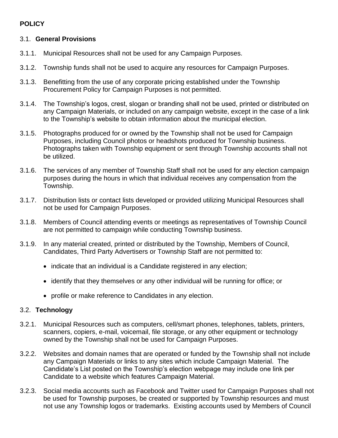### **POLICY**

#### 3.1. **General Provisions**

- 3.1.1. Municipal Resources shall not be used for any Campaign Purposes.
- 3.1.2. Township funds shall not be used to acquire any resources for Campaign Purposes.
- 3.1.3. Benefitting from the use of any corporate pricing established under the Township Procurement Policy for Campaign Purposes is not permitted.
- 3.1.4. The Township's logos, crest, slogan or branding shall not be used, printed or distributed on any Campaign Materials, or included on any campaign website, except in the case of a link to the Township's website to obtain information about the municipal election.
- 3.1.5. Photographs produced for or owned by the Township shall not be used for Campaign Purposes, including Council photos or headshots produced for Township business. Photographs taken with Township equipment or sent through Township accounts shall not be utilized.
- 3.1.6. The services of any member of Township Staff shall not be used for any election campaign purposes during the hours in which that individual receives any compensation from the Township.
- 3.1.7. Distribution lists or contact lists developed or provided utilizing Municipal Resources shall not be used for Campaign Purposes.
- 3.1.8. Members of Council attending events or meetings as representatives of Township Council are not permitted to campaign while conducting Township business.
- 3.1.9. In any material created, printed or distributed by the Township, Members of Council, Candidates, Third Party Advertisers or Township Staff are not permitted to:
	- indicate that an individual is a Candidate registered in any election;
	- identify that they themselves or any other individual will be running for office; or
	- profile or make reference to Candidates in any election.

#### 3.2. **Technology**

- 3.2.1. Municipal Resources such as computers, cell/smart phones, telephones, tablets, printers, scanners, copiers, e-mail, voicemail, file storage, or any other equipment or technology owned by the Township shall not be used for Campaign Purposes.
- 3.2.2. Websites and domain names that are operated or funded by the Township shall not include any Campaign Materials or links to any sites which include Campaign Material. The Candidate's List posted on the Township's election webpage may include one link per Candidate to a website which features Campaign Material.
- 3.2.3. Social media accounts such as Facebook and Twitter used for Campaign Purposes shall not be used for Township purposes, be created or supported by Township resources and must not use any Township logos or trademarks. Existing accounts used by Members of Council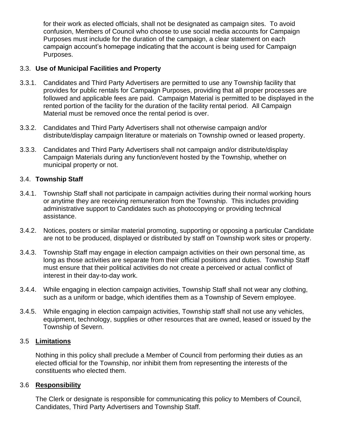for their work as elected officials, shall not be designated as campaign sites. To avoid confusion, Members of Council who choose to use social media accounts for Campaign Purposes must include for the duration of the campaign, a clear statement on each campaign account's homepage indicating that the account is being used for Campaign Purposes.

#### 3.3. **Use of Municipal Facilities and Property**

- 3.3.1. Candidates and Third Party Advertisers are permitted to use any Township facility that provides for public rentals for Campaign Purposes, providing that all proper processes are followed and applicable fees are paid. Campaign Material is permitted to be displayed in the rented portion of the facility for the duration of the facility rental period. All Campaign Material must be removed once the rental period is over.
- 3.3.2. Candidates and Third Party Advertisers shall not otherwise campaign and/or distribute/display campaign literature or materials on Township owned or leased property.
- 3.3.3. Candidates and Third Party Advertisers shall not campaign and/or distribute/display Campaign Materials during any function/event hosted by the Township, whether on municipal property or not.

#### 3.4. **Township Staff**

- 3.4.1. Township Staff shall not participate in campaign activities during their normal working hours or anytime they are receiving remuneration from the Township. This includes providing administrative support to Candidates such as photocopying or providing technical assistance.
- 3.4.2. Notices, posters or similar material promoting, supporting or opposing a particular Candidate are not to be produced, displayed or distributed by staff on Township work sites or property.
- 3.4.3. Township Staff may engage in election campaign activities on their own personal time, as long as those activities are separate from their official positions and duties. Township Staff must ensure that their political activities do not create a perceived or actual conflict of interest in their day-to-day work.
- 3.4.4. While engaging in election campaign activities, Township Staff shall not wear any clothing, such as a uniform or badge, which identifies them as a Township of Severn employee.
- 3.4.5. While engaging in election campaign activities, Township staff shall not use any vehicles, equipment, technology, supplies or other resources that are owned, leased or issued by the Township of Severn.

#### 3.5 **Limitations**

Nothing in this policy shall preclude a Member of Council from performing their duties as an elected official for the Township, nor inhibit them from representing the interests of the constituents who elected them.

#### 3.6 **Responsibility**

The Clerk or designate is responsible for communicating this policy to Members of Council, Candidates, Third Party Advertisers and Township Staff.